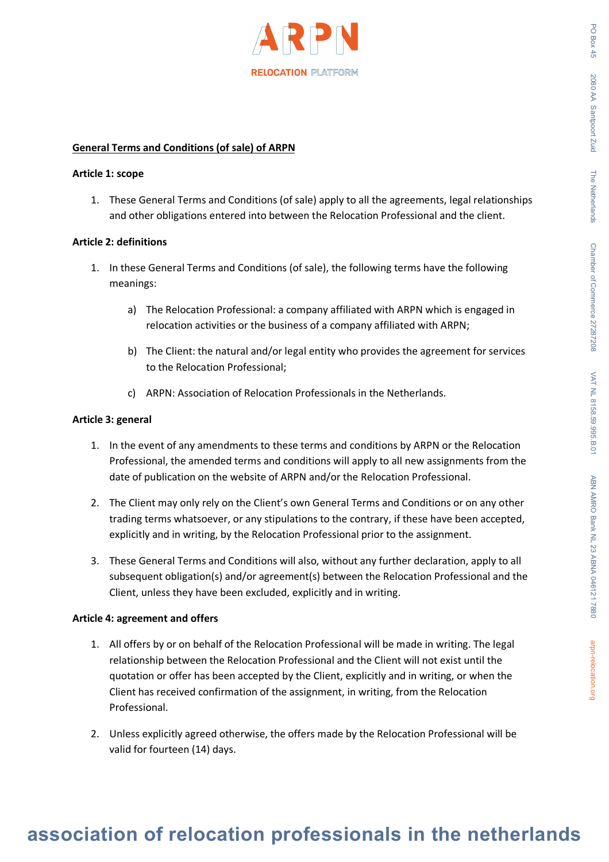

### **General Terms and Conditions (of sale) of ARPN**

#### **Article 1: scope**

1. These General Terms and Conditions (of sale) apply to all the agreements, legal relationships and other obligations entered into between the Relocation Professional and the client.

### **Article 2: definitions**

- 1. In these General Terms and Conditions (of sale), the following terms have the following meanings:
	- a) The Relocation Professional: a company affiliated with ARPN which is engaged in relocation activities or the business of a company affiliated with ARPN;
	- b) The Client: the natural and/or legal entity who provides the agreement for services to the Relocation Professional;
	- c) ARPN: Association of Relocation Professionals in the Netherlands.

### **Article 3: general**

- 1. In the event of any amendments to these terms and conditions by ARPN or the Relocation Professional, the amended terms and conditions will apply to all new assignments from the date of publication on the website of ARPN and/or the Relocation Professional.
- 2. The Client may only rely on the Client's own General Terms and Conditions or on any other trading terms whatsoever, or any stipulations to the contrary, if these have been accepted, explicitly and in writing, by the Relocation Professional prior to the assignment.
- 3. These General Terms and Conditions will also, without any further declaration, apply to all subsequent obligation(s) and/or agreement(s) between the Relocation Professional and the Client, unless they have been excluded, explicitly and in writing.

# **Article 4: agreement and offers**

- 1. All offers by or on behalf of the Relocation Professional will be made in writing. The legal relationship between the Relocation Professional and the Client will not exist until the quotation or offer has been accepted by the Client, explicitly and in writing, or when the Client has received confirmation of the assignment, in writing, from the Relocation Professional.
- 2. Unless explicitly agreed otherwise, the offers made by the Relocation Professional will be valid for fourteen (14) days.

PO Boy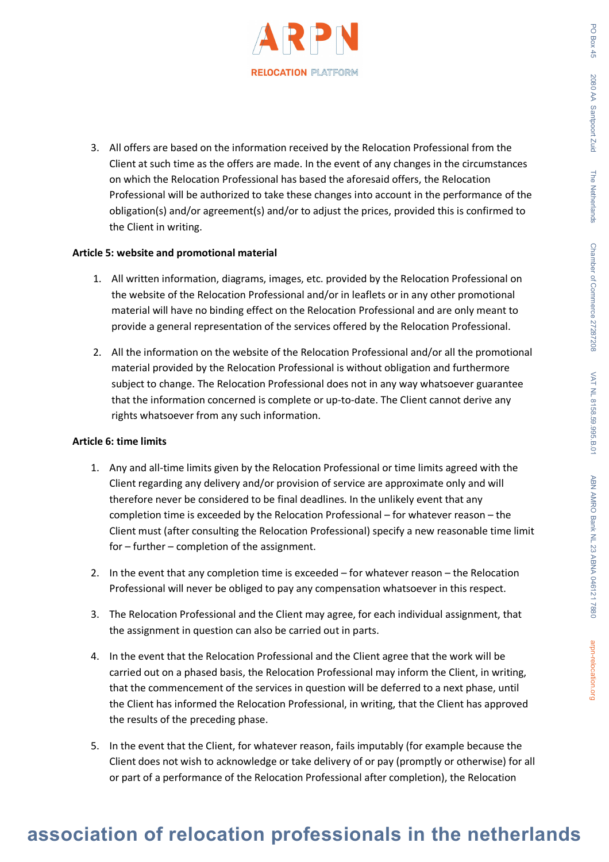

3. All offers are based on the information received by the Relocation Professional from the Client at such time as the offers are made. In the event of any changes in the circumstances on which the Relocation Professional has based the aforesaid offers, the Relocation Professional will be authorized to take these changes into account in the performance of the obligation(s) and/or agreement(s) and/or to adjust the prices, provided this is confirmed to the Client in writing.

### **Article 5: website and promotional material**

- 1. All written information, diagrams, images, etc. provided by the Relocation Professional on the website of the Relocation Professional and/or in leaflets or in any other promotional material will have no binding effect on the Relocation Professional and are only meant to provide a general representation of the services offered by the Relocation Professional.
- 2. All the information on the website of the Relocation Professional and/or all the promotional material provided by the Relocation Professional is without obligation and furthermore subject to change. The Relocation Professional does not in any way whatsoever guarantee that the information concerned is complete or up-to-date. The Client cannot derive any rights whatsoever from any such information.

#### **Article 6: time limits**

- 1. Any and all-time limits given by the Relocation Professional or time limits agreed with the Client regarding any delivery and/or provision of service are approximate only and will therefore never be considered to be final deadlines. In the unlikely event that any completion time is exceeded by the Relocation Professional – for whatever reason – the Client must (after consulting the Relocation Professional) specify a new reasonable time limit for – further – completion of the assignment.
- 2. In the event that any completion time is exceeded for whatever reason the Relocation Professional will never be obliged to pay any compensation whatsoever in this respect.
- 3. The Relocation Professional and the Client may agree, for each individual assignment, that the assignment in question can also be carried out in parts.
- 4. In the event that the Relocation Professional and the Client agree that the work will be carried out on a phased basis, the Relocation Professional may inform the Client, in writing, that the commencement of the services in question will be deferred to a next phase, until the Client has informed the Relocation Professional, in writing, that the Client has approved the results of the preceding phase.
- 5. In the event that the Client, for whatever reason, fails imputably (for example because the Client does not wish to acknowledge or take delivery of or pay (promptly or otherwise) for all or part of a performance of the Relocation Professional after completion), the Relocation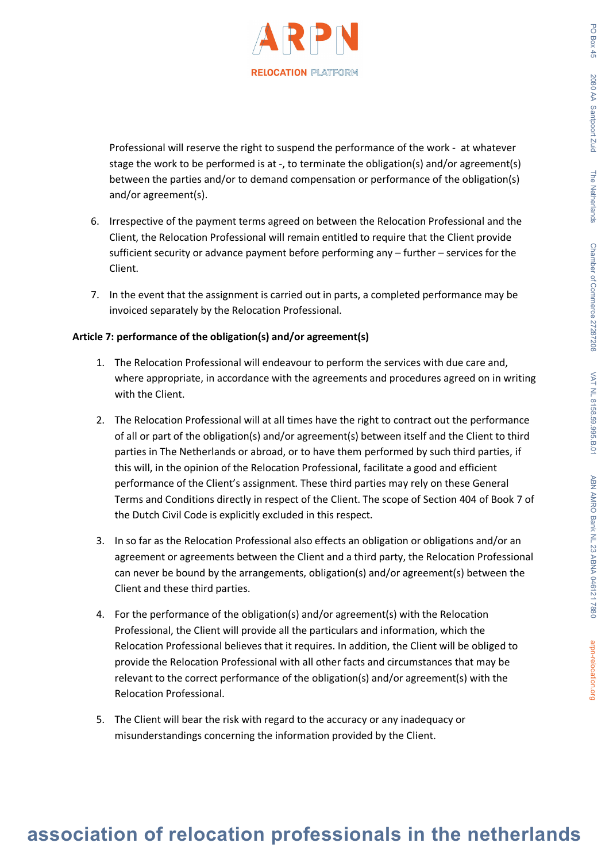

Professional will reserve the right to suspend the performance of the work - at whatever stage the work to be performed is at -, to terminate the obligation(s) and/or agreement(s) between the parties and/or to demand compensation or performance of the obligation(s) and/or agreement(s).

- 6. Irrespective of the payment terms agreed on between the Relocation Professional and the Client, the Relocation Professional will remain entitled to require that the Client provide sufficient security or advance payment before performing any – further – services for the Client.
- 7. In the event that the assignment is carried out in parts, a completed performance may be invoiced separately by the Relocation Professional.

# **Article 7: performance of the obligation(s) and/or agreement(s)**

- 1. The Relocation Professional will endeavour to perform the services with due care and, where appropriate, in accordance with the agreements and procedures agreed on in writing with the Client.
- 2. The Relocation Professional will at all times have the right to contract out the performance of all or part of the obligation(s) and/or agreement(s) between itself and the Client to third parties in The Netherlands or abroad, or to have them performed by such third parties, if this will, in the opinion of the Relocation Professional, facilitate a good and efficient performance of the Client's assignment. These third parties may rely on these General Terms and Conditions directly in respect of the Client. The scope of Section 404 of Book 7 of the Dutch Civil Code is explicitly excluded in this respect.
- 3. In so far as the Relocation Professional also effects an obligation or obligations and/or an agreement or agreements between the Client and a third party, the Relocation Professional can never be bound by the arrangements, obligation(s) and/or agreement(s) between the Client and these third parties.
- 4. For the performance of the obligation(s) and/or agreement(s) with the Relocation Professional, the Client will provide all the particulars and information, which the Relocation Professional believes that it requires. In addition, the Client will be obliged to provide the Relocation Professional with all other facts and circumstances that may be relevant to the correct performance of the obligation(s) and/or agreement(s) with the Relocation Professional.
- 5. The Client will bear the risk with regard to the accuracy or any inadequacy or misunderstandings concerning the information provided by the Client.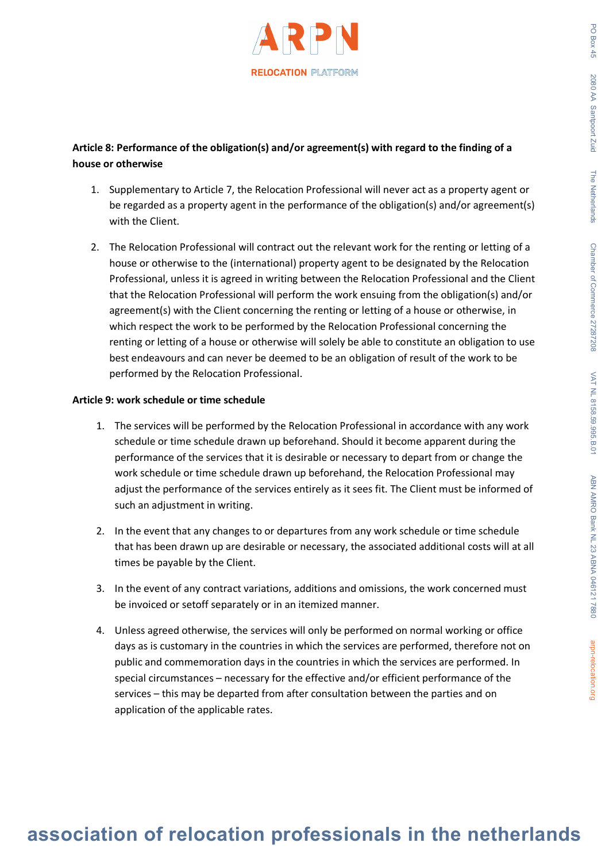# **Article 8: Performance of the obligation(s) and/or agreement(s) with regard to the finding of a house or otherwise**

- 1. Supplementary to Article 7, the Relocation Professional will never act as a property agent or be regarded as a property agent in the performance of the obligation(s) and/or agreement(s) with the Client.
- 2. The Relocation Professional will contract out the relevant work for the renting or letting of a house or otherwise to the (international) property agent to be designated by the Relocation Professional, unless it is agreed in writing between the Relocation Professional and the Client that the Relocation Professional will perform the work ensuing from the obligation(s) and/or agreement(s) with the Client concerning the renting or letting of a house or otherwise, in which respect the work to be performed by the Relocation Professional concerning the renting or letting of a house or otherwise will solely be able to constitute an obligation to use best endeavours and can never be deemed to be an obligation of result of the work to be performed by the Relocation Professional.

# **Article 9: work schedule or time schedule**

- 1. The services will be performed by the Relocation Professional in accordance with any work schedule or time schedule drawn up beforehand. Should it become apparent during the performance of the services that it is desirable or necessary to depart from or change the work schedule or time schedule drawn up beforehand, the Relocation Professional may adjust the performance of the services entirely as it sees fit. The Client must be informed of such an adjustment in writing.
- 2. In the event that any changes to or departures from any work schedule or time schedule that has been drawn up are desirable or necessary, the associated additional costs will at all times be payable by the Client.
- 3. In the event of any contract variations, additions and omissions, the work concerned must be invoiced or setoff separately or in an itemized manner.
- 4. Unless agreed otherwise, the services will only be performed on normal working or office days as is customary in the countries in which the services are performed, therefore not on public and commemoration days in the countries in which the services are performed. In special circumstances – necessary for the effective and/or efficient performance of the services – this may be departed from after consultation between the parties and on application of the applicable rates.

PO Box  $45$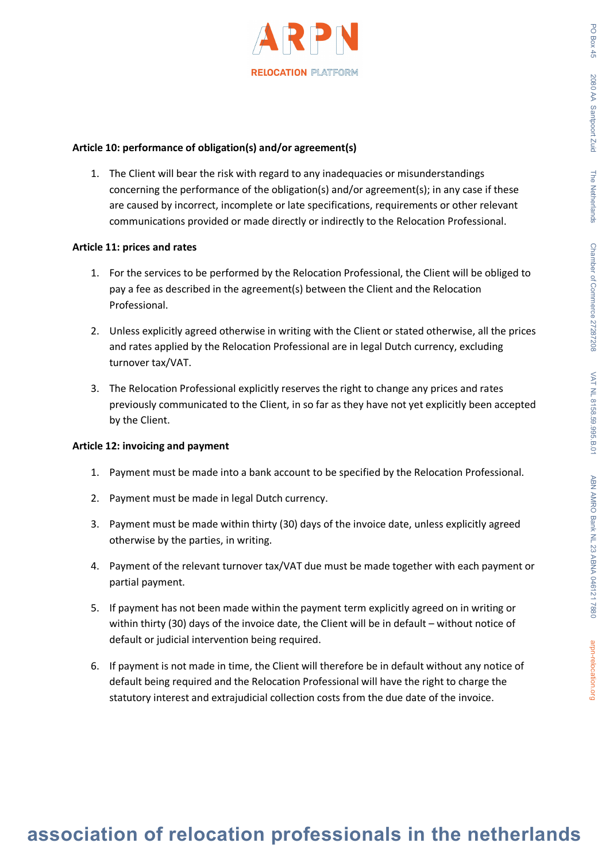

### **Article 10: performance of obligation(s) and/or agreement(s)**

1. The Client will bear the risk with regard to any inadequacies or misunderstandings concerning the performance of the obligation(s) and/or agreement(s); in any case if these are caused by incorrect, incomplete or late specifications, requirements or other relevant communications provided or made directly or indirectly to the Relocation Professional.

### **Article 11: prices and rates**

- 1. For the services to be performed by the Relocation Professional, the Client will be obliged to pay a fee as described in the agreement(s) between the Client and the Relocation Professional.
- 2. Unless explicitly agreed otherwise in writing with the Client or stated otherwise, all the prices and rates applied by the Relocation Professional are in legal Dutch currency, excluding turnover tax/VAT.
- 3. The Relocation Professional explicitly reserves the right to change any prices and rates previously communicated to the Client, in so far as they have not yet explicitly been accepted by the Client.

# **Article 12: invoicing and payment**

- 1. Payment must be made into a bank account to be specified by the Relocation Professional.
- 2. Payment must be made in legal Dutch currency.
- 3. Payment must be made within thirty (30) days of the invoice date, unless explicitly agreed otherwise by the parties, in writing.
- 4. Payment of the relevant turnover tax/VAT due must be made together with each payment or partial payment.
- 5. If payment has not been made within the payment term explicitly agreed on in writing or within thirty (30) days of the invoice date, the Client will be in default – without notice of default or judicial intervention being required.
- 6. If payment is not made in time, the Client will therefore be in default without any notice of default being required and the Relocation Professional will have the right to charge the statutory interest and extrajudicial collection costs from the due date of the invoice.

PO Box  $45$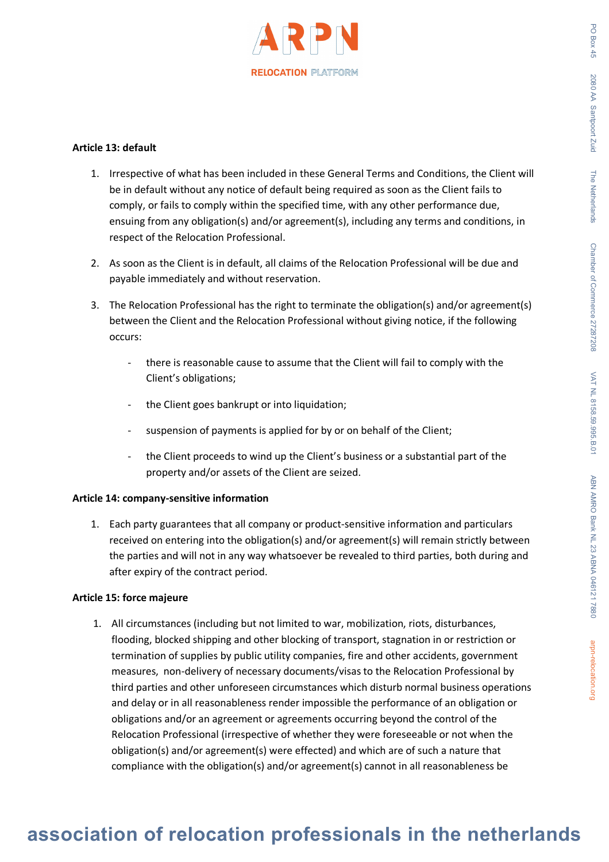

# **Article 13: default**

- 1. Irrespective of what has been included in these General Terms and Conditions, the Client will be in default without any notice of default being required as soon as the Client fails to comply, or fails to comply within the specified time, with any other performance due, ensuing from any obligation(s) and/or agreement(s), including any terms and conditions, in respect of the Relocation Professional.
- 2. As soon as the Client is in default, all claims of the Relocation Professional will be due and payable immediately and without reservation.
- 3. The Relocation Professional has the right to terminate the obligation(s) and/or agreement(s) between the Client and the Relocation Professional without giving notice, if the following occurs:
	- there is reasonable cause to assume that the Client will fail to comply with the Client's obligations;
	- the Client goes bankrupt or into liquidation;
	- suspension of payments is applied for by or on behalf of the Client;
	- the Client proceeds to wind up the Client's business or a substantial part of the property and/or assets of the Client are seized.

# **Article 14: company-sensitive information**

1. Each party guarantees that all company or product-sensitive information and particulars received on entering into the obligation(s) and/or agreement(s) will remain strictly between the parties and will not in any way whatsoever be revealed to third parties, both during and after expiry of the contract period.

# **Article 15: force majeure**

1. All circumstances (including but not limited to war, mobilization, riots, disturbances, flooding, blocked shipping and other blocking of transport, stagnation in or restriction or termination of supplies by public utility companies, fire and other accidents, government measures, non-delivery of necessary documents/visas to the Relocation Professional by third parties and other unforeseen circumstances which disturb normal business operations and delay or in all reasonableness render impossible the performance of an obligation or obligations and/or an agreement or agreements occurring beyond the control of the Relocation Professional (irrespective of whether they were foreseeable or not when the obligation(s) and/or agreement(s) were effected) and which are of such a nature that compliance with the obligation(s) and/or agreement(s) cannot in all reasonableness be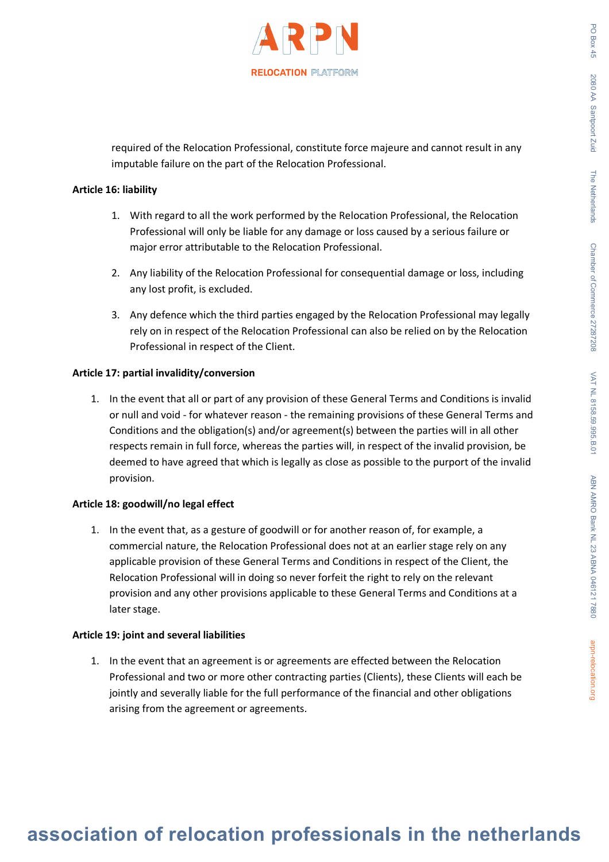

required of the Relocation Professional, constitute force majeure and cannot result in any imputable failure on the part of the Relocation Professional.

#### **Article 16: liability**

- 1. With regard to all the work performed by the Relocation Professional, the Relocation Professional will only be liable for any damage or loss caused by a serious failure or major error attributable to the Relocation Professional.
- 2. Any liability of the Relocation Professional for consequential damage or loss, including any lost profit, is excluded.
- 3. Any defence which the third parties engaged by the Relocation Professional may legally rely on in respect of the Relocation Professional can also be relied on by the Relocation Professional in respect of the Client.

# **Article 17: partial invalidity/conversion**

1. In the event that all or part of any provision of these General Terms and Conditions is invalid or null and void - for whatever reason - the remaining provisions of these General Terms and Conditions and the obligation(s) and/or agreement(s) between the parties will in all other respects remain in full force, whereas the parties will, in respect of the invalid provision, be deemed to have agreed that which is legally as close as possible to the purport of the invalid provision.

#### **Article 18: goodwill/no legal effect**

1. In the event that, as a gesture of goodwill or for another reason of, for example, a commercial nature, the Relocation Professional does not at an earlier stage rely on any applicable provision of these General Terms and Conditions in respect of the Client, the Relocation Professional will in doing so never forfeit the right to rely on the relevant provision and any other provisions applicable to these General Terms and Conditions at a later stage.

#### **Article 19: joint and several liabilities**

1. In the event that an agreement is or agreements are effected between the Relocation Professional and two or more other contracting parties (Clients), these Clients will each be jointly and severally liable for the full performance of the financial and other obligations arising from the agreement or agreements.